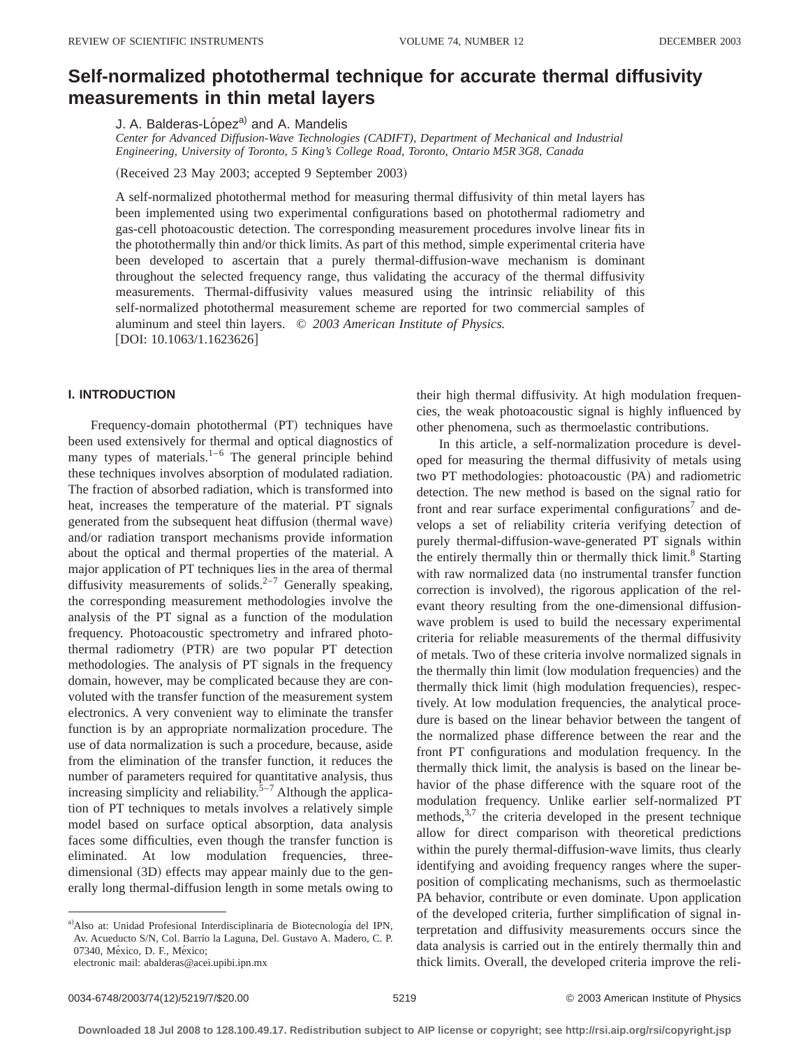# **Self-normalized photothermal technique for accurate thermal diffusivity measurements in thin metal layers**

J. A. Balderas-López<sup>a)</sup> and A. Mandelis

*Center for Advanced Diffusion-Wave Technologies (CADIFT), Department of Mechanical and Industrial Engineering, University of Toronto, 5 King's College Road, Toronto, Ontario M5R 3G8, Canada*

(Received 23 May 2003; accepted 9 September 2003)

A self-normalized photothermal method for measuring thermal diffusivity of thin metal layers has been implemented using two experimental configurations based on photothermal radiometry and gas-cell photoacoustic detection. The corresponding measurement procedures involve linear fits in the photothermally thin and/or thick limits. As part of this method, simple experimental criteria have been developed to ascertain that a purely thermal-diffusion-wave mechanism is dominant throughout the selected frequency range, thus validating the accuracy of the thermal diffusivity measurements. Thermal-diffusivity values measured using the intrinsic reliability of this self-normalized photothermal measurement scheme are reported for two commercial samples of aluminum and steel thin layers. © *2003 American Institute of Physics.*  $[DOI: 10.1063/1.1623626]$ 

# **I. INTRODUCTION**

Frequency-domain photothermal (PT) techniques have been used extensively for thermal and optical diagnostics of many types of materials. $1-6$  The general principle behind these techniques involves absorption of modulated radiation. The fraction of absorbed radiation, which is transformed into heat, increases the temperature of the material. PT signals generated from the subsequent heat diffusion (thermal wave) and/or radiation transport mechanisms provide information about the optical and thermal properties of the material. A major application of PT techniques lies in the area of thermal diffusivity measurements of solids. $2-7$  Generally speaking, the corresponding measurement methodologies involve the analysis of the PT signal as a function of the modulation frequency. Photoacoustic spectrometry and infrared photothermal radiometry (PTR) are two popular PT detection methodologies. The analysis of PT signals in the frequency domain, however, may be complicated because they are convoluted with the transfer function of the measurement system electronics. A very convenient way to eliminate the transfer function is by an appropriate normalization procedure. The use of data normalization is such a procedure, because, aside from the elimination of the transfer function, it reduces the number of parameters required for quantitative analysis, thus increasing simplicity and reliability. $5-7$  Although the application of PT techniques to metals involves a relatively simple model based on surface optical absorption, data analysis faces some difficulties, even though the transfer function is eliminated. At low modulation frequencies, threedimensional (3D) effects may appear mainly due to the generally long thermal-diffusion length in some metals owing to

their high thermal diffusivity. At high modulation frequencies, the weak photoacoustic signal is highly influenced by other phenomena, such as thermoelastic contributions.

In this article, a self-normalization procedure is developed for measuring the thermal diffusivity of metals using two PT methodologies: photoacoustic (PA) and radiometric detection. The new method is based on the signal ratio for front and rear surface experimental configurations<sup>7</sup> and develops a set of reliability criteria verifying detection of purely thermal-diffusion-wave-generated PT signals within the entirely thermally thin or thermally thick limit. $8$  Starting with raw normalized data (no instrumental transfer function correction is involved), the rigorous application of the relevant theory resulting from the one-dimensional diffusionwave problem is used to build the necessary experimental criteria for reliable measurements of the thermal diffusivity of metals. Two of these criteria involve normalized signals in the thermally thin limit (low modulation frequencies) and the thermally thick limit (high modulation frequencies), respectively. At low modulation frequencies, the analytical procedure is based on the linear behavior between the tangent of the normalized phase difference between the rear and the front PT configurations and modulation frequency. In the thermally thick limit, the analysis is based on the linear behavior of the phase difference with the square root of the modulation frequency. Unlike earlier self-normalized PT methods,  $3,7$  the criteria developed in the present technique allow for direct comparison with theoretical predictions within the purely thermal-diffusion-wave limits, thus clearly identifying and avoiding frequency ranges where the superposition of complicating mechanisms, such as thermoelastic PA behavior, contribute or even dominate. Upon application of the developed criteria, further simplification of signal interpretation and diffusivity measurements occurs since the data analysis is carried out in the entirely thermally thin and thick limits. Overall, the developed criteria improve the reli-

a) Also at: Unidad Profesional Interdisciplinaria de Biotecnología del IPN, Av. Acueducto S/N, Col. Barrio la Laguna, Del. Gustavo A. Madero, C. P. 07340, México, D. F., México;

electronic mail: abalderas@acei.upibi.ipn.mx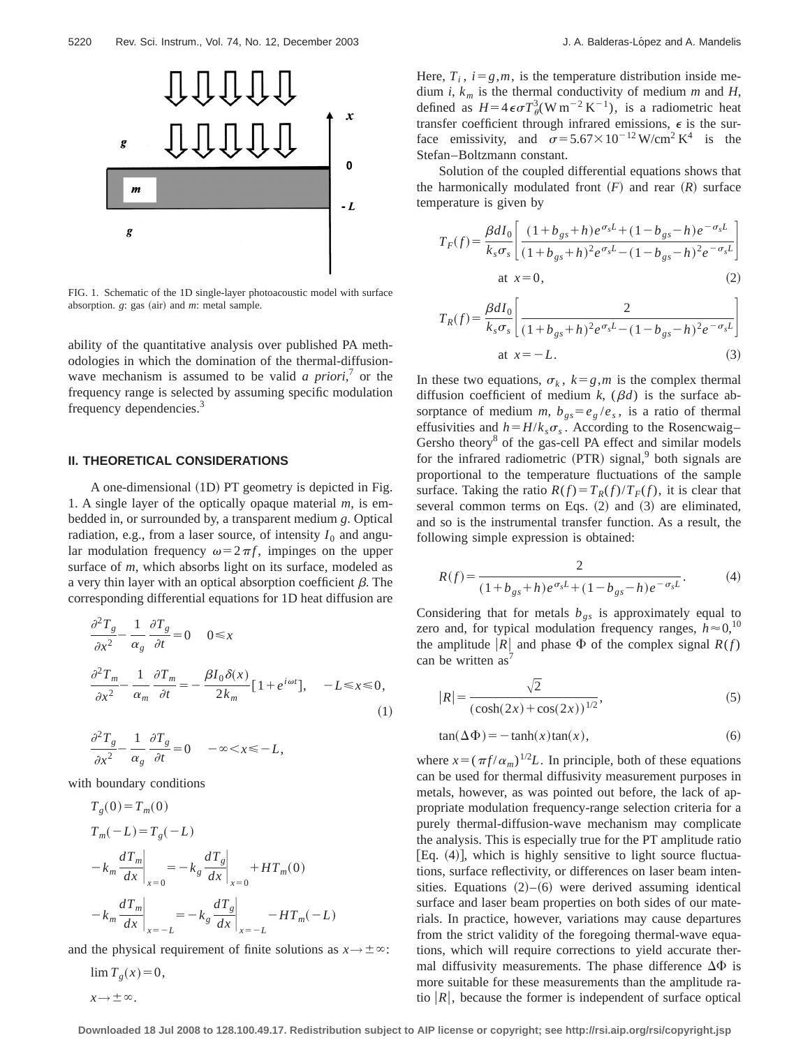

FIG. 1. Schematic of the 1D single-layer photoacoustic model with surface absorption. *g*: gas (air) and *m*: metal sample.

ability of the quantitative analysis over published PA methodologies in which the domination of the thermal-diffusionwave mechanism is assumed to be valid *a priori*,<sup>7</sup> or the frequency range is selected by assuming specific modulation frequency dependencies.<sup>3</sup>

### **II. THEORETICAL CONSIDERATIONS**

A one-dimensional (1D) PT geometry is depicted in Fig. 1. A single layer of the optically opaque material *m*, is embedded in, or surrounded by, a transparent medium *g*. Optical radiation, e.g., from a laser source, of intensity  $I_0$  and angular modulation frequency  $\omega = 2\pi f$ , impinges on the upper surface of *m*, which absorbs light on its surface, modeled as a very thin layer with an optical absorption coefficient  $\beta$ . The corresponding differential equations for 1D heat diffusion are

$$
\frac{\partial^2 T_g}{\partial x^2} - \frac{1}{\alpha_g} \frac{\partial T_g}{\partial t} = 0 \quad 0 \le x
$$
  

$$
\frac{\partial^2 T_m}{\partial x^2} - \frac{1}{\alpha_m} \frac{\partial T_m}{\partial t} = -\frac{\beta I_0 \delta(x)}{2k_m} [1 + e^{i\omega t}], \quad -L \le x \le 0,
$$
  
(1)  

$$
\partial^2 T_g \quad 1 \quad \partial T_g
$$

$$
\frac{\partial^2 T_g}{\partial x^2} - \frac{1}{\alpha_g} \frac{\partial T_g}{\partial t} = 0 \quad -\infty < x \le -L,
$$

with boundary conditions

$$
T_g(0) = T_m(0)
$$
  
\n
$$
T_m(-L) = T_g(-L)
$$
  
\n
$$
-k_m \frac{dT_m}{dx}\Big|_{x=0} = -k_g \frac{dT_g}{dx}\Big|_{x=0} + HT_m(0)
$$
  
\n
$$
-k_m \frac{dT_m}{dx}\Big|_{x=-L} = -k_g \frac{dT_g}{dx}\Big|_{x=-L} - HT_m(-L)
$$

and the physical requirement of finite solutions as  $x \rightarrow \pm \infty$ :

 $\lim T_{g}(x) = 0,$  $x \rightarrow \pm \infty$ .

Here,  $T_i$ ,  $i = g, m$ , is the temperature distribution inside medium *i*, *km* is the thermal conductivity of medium *m* and *H*, defined as  $H=4\epsilon\sigma T^3_{\theta}(\text{W m}^{-2} \text{K}^{-1})$ , is a radiometric heat transfer coefficient through infrared emissions,  $\epsilon$  is the surface emissivity, and  $\sigma = 5.67 \times 10^{-12} \,\text{W/cm}^2 \,\text{K}^4$  is the Stefan–Boltzmann constant.

Solution of the coupled differential equations shows that the harmonically modulated front  $(F)$  and rear  $(R)$  surface temperature is given by

$$
T_F(f) = \frac{\beta dI_0}{k_s \sigma_s} \left[ \frac{(1 + b_{gs} + h)e^{\sigma_s L} + (1 - b_{gs} - h)e^{-\sigma_s L}}{(1 + b_{gs} + h)^2 e^{\sigma_s L} - (1 - b_{gs} - h)^2 e^{-\sigma_s L}} \right]
$$
  
at  $x = 0$ , (2)

$$
T_R(f) = \frac{\beta dI_0}{k_s \sigma_s} \left[ \frac{2}{(1 + b_{gs} + h)^2 e^{\sigma_s L} - (1 - b_{gs} - h)^2 e^{-\sigma_s L}} \right]
$$
  
at  $x = -L$ . (3)

In these two equations,  $\sigma_k$ ,  $k = g, m$  is the complex thermal diffusion coefficient of medium  $k$ ,  $(\beta d)$  is the surface absorptance of medium *m*,  $b_{gs} = e_g / e_s$ , is a ratio of thermal effusivities and  $h = H/k<sub>s</sub> \sigma<sub>s</sub>$ . According to the Rosencwaig– Gersho theory<sup>8</sup> of the gas-cell PA effect and similar models for the infrared radiometric  $(PTR)$  signal,<sup>9</sup> both signals are proportional to the temperature fluctuations of the sample surface. Taking the ratio  $R(f) = T_R(f)/T_F(f)$ , it is clear that several common terms on Eqs.  $(2)$  and  $(3)$  are eliminated, and so is the instrumental transfer function. As a result, the following simple expression is obtained:

$$
R(f) = \frac{2}{(1 + b_{gs} + h)e^{\sigma_s L} + (1 - b_{gs} - h)e^{-\sigma_s L}}.
$$
 (4)

Considering that for metals  $b_{gs}$  is approximately equal to zero and, for typical modulation frequency ranges,  $h \approx 0$ ,<sup>10</sup> the amplitude |R| and phase  $\Phi$  of the complex signal  $R(f)$ can be written  $as^7$ 

$$
|R| = \frac{\sqrt{2}}{(\cosh(2x) + \cos(2x))^{1/2}},
$$
\n(5)

$$
tan(\Delta \Phi) = -\tanh(x)tan(x),\tag{6}
$$

where  $x = (\pi f / \alpha_m)^{1/2} L$ . In principle, both of these equations can be used for thermal diffusivity measurement purposes in metals, however, as was pointed out before, the lack of appropriate modulation frequency-range selection criteria for a purely thermal-diffusion-wave mechanism may complicate the analysis. This is especially true for the PT amplitude ratio [Eq.  $(4)$ ], which is highly sensitive to light source fluctuations, surface reflectivity, or differences on laser beam intensities. Equations  $(2)$ – $(6)$  were derived assuming identical surface and laser beam properties on both sides of our materials. In practice, however, variations may cause departures from the strict validity of the foregoing thermal-wave equations, which will require corrections to yield accurate thermal diffusivity measurements. The phase difference  $\Delta\Phi$  is more suitable for these measurements than the amplitude ratio  $|R|$ , because the former is independent of surface optical

**Downloaded 18 Jul 2008 to 128.100.49.17. Redistribution subject to AIP license or copyright; see http://rsi.aip.org/rsi/copyright.jsp**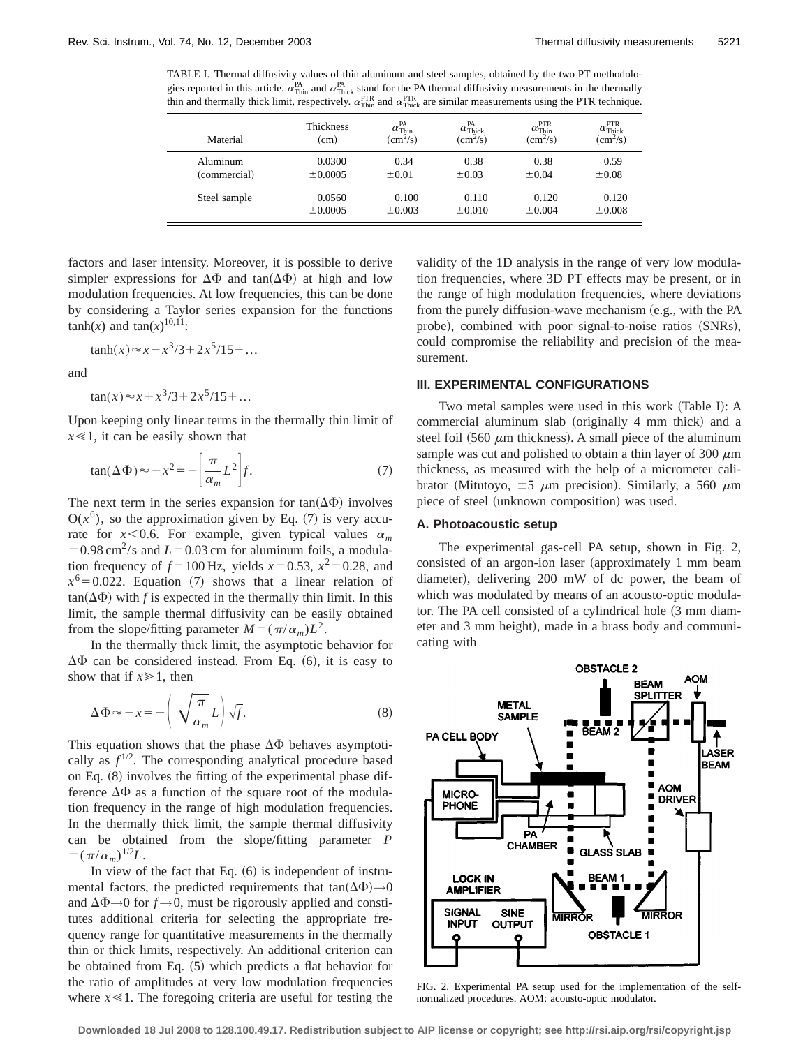TABLE I. Thermal diffusivity values of thin aluminum and steel samples, obtained by the two PT methodologies reported in this article.  $\alpha_{\text{This}}^{\text{PA}}$  and  $\alpha_{\text{This}}^{\text{PA}}$  stand for the PA thermal diffusivity measurements in the thermally thin and thermally thick limit, respectively.  $\alpha_{\text{Think}}^{\text{PTR}}$  and  $\alpha_{\text{Thick}}^{\text{PTR}}$  are similar measurements using the PTR technique.

| Material     | <b>Thickness</b><br>(cm) | $\alpha_{\text{thin}}^{\text{PA}}$<br>(cm <sup>2</sup> /s) | $\alpha_{\text{Thick}}^{\text{PA}}$<br>(cm <sup>2</sup> /s) | <b>PTR</b><br>$\alpha_{\text{thin}}$<br>$\left(\text{cm}^2\text{/s}\right)$ | $\alpha_{\text{Thick}}^{\text{PTR}}$<br>(cm <sup>2</sup> /s) |
|--------------|--------------------------|------------------------------------------------------------|-------------------------------------------------------------|-----------------------------------------------------------------------------|--------------------------------------------------------------|
| Aluminum     | 0.0300                   | 0.34                                                       | 0.38                                                        | 0.38                                                                        | 0.59                                                         |
| (commercial) | $\pm 0.0005$             | $\pm 0.01$                                                 | $\pm 0.03$                                                  | ±0.04                                                                       | $\pm 0.08$                                                   |
| Steel sample | 0.0560                   | 0.100                                                      | 0.110                                                       | 0.120                                                                       | 0.120                                                        |
|              | ±0.0005                  | $\pm 0.003$                                                | $\pm 0.010$                                                 | $\pm 0.004$                                                                 | $\pm 0.008$                                                  |

factors and laser intensity. Moreover, it is possible to derive simpler expressions for  $\Delta\Phi$  and tan $(\Delta\Phi)$  at high and low modulation frequencies. At low frequencies, this can be done by considering a Taylor series expansion for the functions  $tanh(x)$  and  $tan(x)^{10,11}$ :

$$
\tanh(x) \approx x - x^3/3 + 2x^5/15 - \dots
$$

and

$$
\tan(x) \approx x + x^3/3 + 2x^5/15 + \dots
$$

Upon keeping only linear terms in the thermally thin limit of  $x \leq 1$ , it can be easily shown that

$$
\tan(\Delta \Phi) \approx -x^2 = -\left[\frac{\pi}{\alpha_m} L^2\right] f. \tag{7}
$$

The next term in the series expansion for  $tan(\Delta\Phi)$  involves  $O(x^6)$ , so the approximation given by Eq. (7) is very accurate for  $x < 0.6$ . For example, given typical values  $\alpha_m$  $=0.98 \text{ cm}^2/\text{s}$  and  $L=0.03 \text{ cm}$  for aluminum foils, a modulation frequency of  $f = 100$  Hz, yields  $x = 0.53$ ,  $x^2 = 0.28$ , and  $x^6$ =0.022. Equation (7) shows that a linear relation of  $tan(\Delta\Phi)$  with *f* is expected in the thermally thin limit. In this limit, the sample thermal diffusivity can be easily obtained from the slope/fitting parameter  $M = (\pi/\alpha_m)L^2$ .

In the thermally thick limit, the asymptotic behavior for  $\Delta\Phi$  can be considered instead. From Eq. (6), it is easy to show that if  $x \ge 1$ , then

$$
\Delta \Phi \approx -x = -\left(\sqrt{\frac{\pi}{\alpha_m}} L\right) \sqrt{f}.\tag{8}
$$

This equation shows that the phase  $\Delta\Phi$  behaves asymptotically as  $f^{1/2}$ . The corresponding analytical procedure based on Eq.  $(8)$  involves the fitting of the experimental phase difference  $\Delta\Phi$  as a function of the square root of the modulation frequency in the range of high modulation frequencies. In the thermally thick limit, the sample thermal diffusivity can be obtained from the slope/fitting parameter *P*  $= (\pi/\alpha_m)^{1/2}L$ .

In view of the fact that Eq.  $(6)$  is independent of instrumental factors, the predicted requirements that tan $(\Delta \Phi) \rightarrow 0$ and  $\Delta \Phi \rightarrow 0$  for  $f \rightarrow 0$ , must be rigorously applied and constitutes additional criteria for selecting the appropriate frequency range for quantitative measurements in the thermally thin or thick limits, respectively. An additional criterion can be obtained from Eq.  $(5)$  which predicts a flat behavior for the ratio of amplitudes at very low modulation frequencies where  $x \ll 1$ . The foregoing criteria are useful for testing the validity of the 1D analysis in the range of very low modulation frequencies, where 3D PT effects may be present, or in the range of high modulation frequencies, where deviations from the purely diffusion-wave mechanism (e.g., with the PA probe), combined with poor signal-to-noise ratios (SNRs), could compromise the reliability and precision of the measurement.

# **III. EXPERIMENTAL CONFIGURATIONS**

Two metal samples were used in this work (Table I): A commercial aluminum slab (originally 4 mm thick) and a steel foil (560  $\mu$ m thickness). A small piece of the aluminum sample was cut and polished to obtain a thin layer of 300  $\mu$ m thickness, as measured with the help of a micrometer calibrator (Mitutoyo,  $\pm 5$   $\mu$ m precision). Similarly, a 560  $\mu$ m piece of steel (unknown composition) was used.

## **A. Photoacoustic setup**

The experimental gas-cell PA setup, shown in Fig. 2, consisted of an argon-ion laser (approximately  $1$  mm beam diameter), delivering 200 mW of dc power, the beam of which was modulated by means of an acousto-optic modulator. The PA cell consisted of a cylindrical hole  $(3 \text{ mm} \text{ diam})$ eter and 3 mm height), made in a brass body and communicating with



FIG. 2. Experimental PA setup used for the implementation of the selfnormalized procedures. AOM: acousto-optic modulator.

**Downloaded 18 Jul 2008 to 128.100.49.17. Redistribution subject to AIP license or copyright; see http://rsi.aip.org/rsi/copyright.jsp**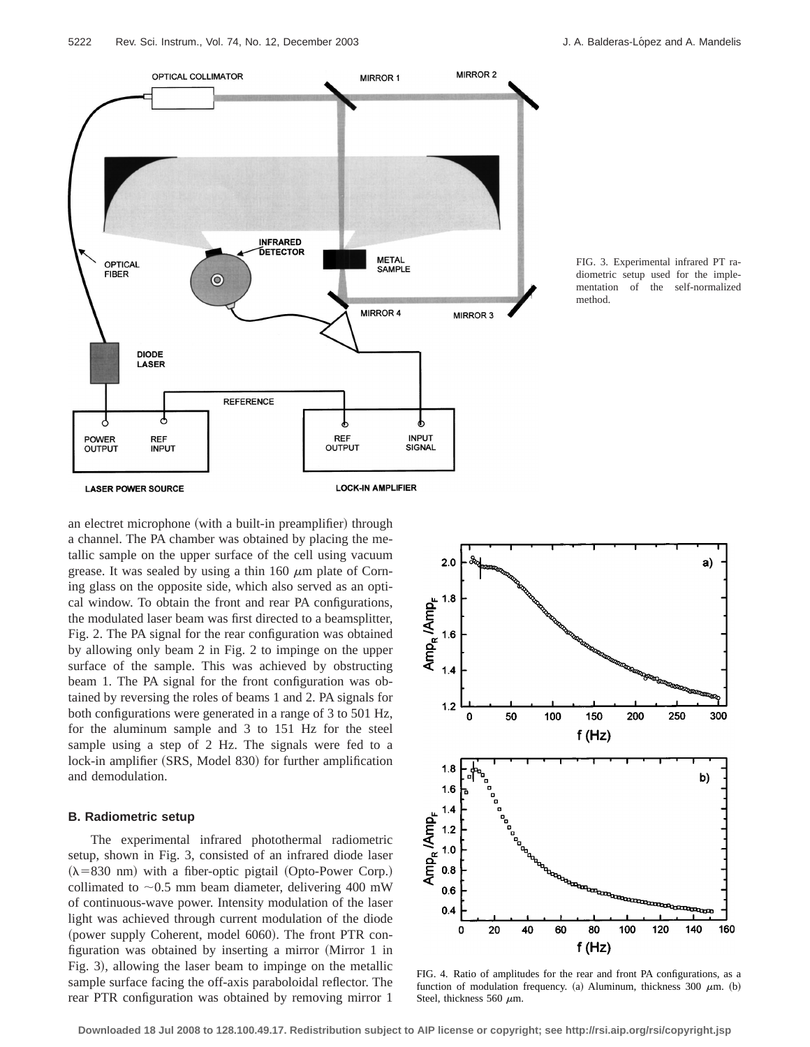

FIG. 3. Experimental infrared PT radiometric setup used for the implementation of the self-normalized method.

an electret microphone (with a built-in preamplifier) through a channel. The PA chamber was obtained by placing the metallic sample on the upper surface of the cell using vacuum grease. It was sealed by using a thin 160  $\mu$ m plate of Corning glass on the opposite side, which also served as an optical window. To obtain the front and rear PA configurations, the modulated laser beam was first directed to a beamsplitter, Fig. 2. The PA signal for the rear configuration was obtained by allowing only beam 2 in Fig. 2 to impinge on the upper surface of the sample. This was achieved by obstructing beam 1. The PA signal for the front configuration was obtained by reversing the roles of beams 1 and 2. PA signals for both configurations were generated in a range of 3 to 501 Hz, for the aluminum sample and 3 to 151 Hz for the steel sample using a step of 2 Hz. The signals were fed to a lock-in amplifier (SRS, Model 830) for further amplification and demodulation.

## **B. Radiometric setup**

The experimental infrared photothermal radiometric setup, shown in Fig. 3, consisted of an infrared diode laser  $(\lambda = 830 \text{ nm})$  with a fiber-optic pigtail (Opto-Power Corp.) collimated to  $\sim 0.5$  mm beam diameter, delivering 400 mW of continuous-wave power. Intensity modulation of the laser light was achieved through current modulation of the diode (power supply Coherent, model  $6060$ ). The front PTR configuration was obtained by inserting a mirror (Mirror 1 in Fig. 3), allowing the laser beam to impinge on the metallic sample surface facing the off-axis paraboloidal reflector. The rear PTR configuration was obtained by removing mirror 1



FIG. 4. Ratio of amplitudes for the rear and front PA configurations, as a function of modulation frequency. (a) Aluminum, thickness 300  $\mu$ m. (b) Steel, thickness 560  $\mu$ m.

**Downloaded 18 Jul 2008 to 128.100.49.17. Redistribution subject to AIP license or copyright; see http://rsi.aip.org/rsi/copyright.jsp**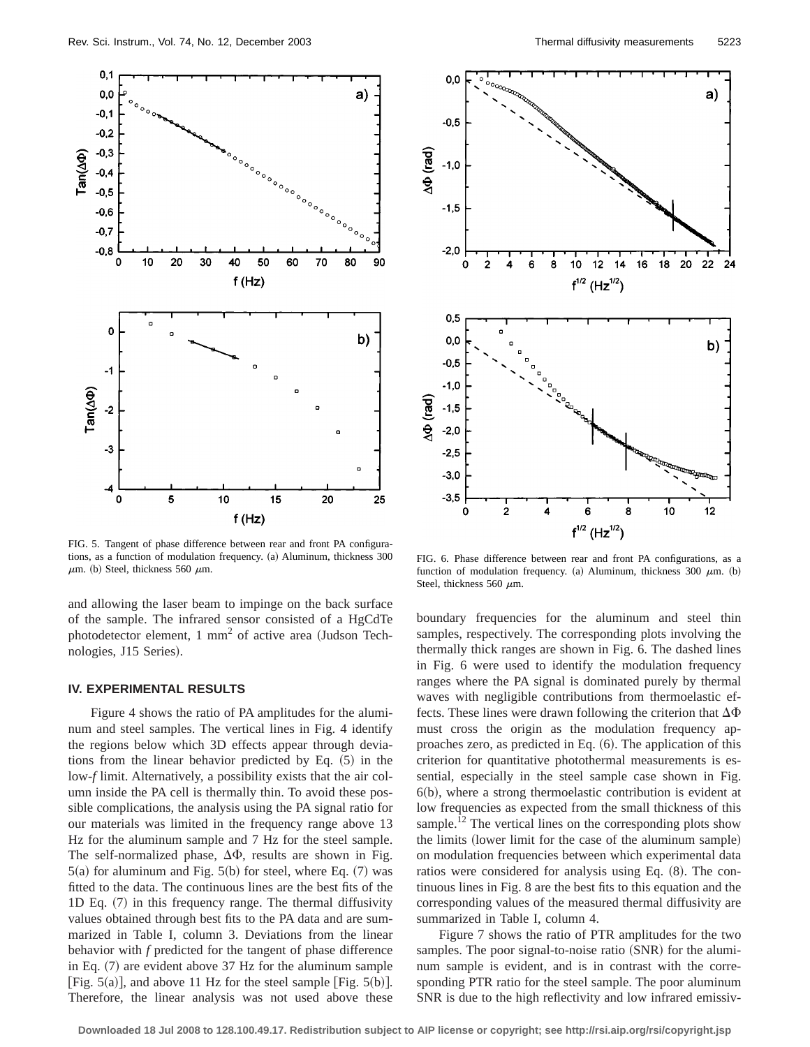

FIG. 5. Tangent of phase difference between rear and front PA configurations, as a function of modulation frequency. (a) Aluminum, thickness 300  $\mu$ m. (b) Steel, thickness 560  $\mu$ m.

and allowing the laser beam to impinge on the back surface of the sample. The infrared sensor consisted of a HgCdTe photodetector element,  $1 \text{ mm}^2$  of active area (Judson Technologies, J15 Series).

#### **IV. EXPERIMENTAL RESULTS**

Figure 4 shows the ratio of PA amplitudes for the aluminum and steel samples. The vertical lines in Fig. 4 identify the regions below which 3D effects appear through deviations from the linear behavior predicted by Eq.  $(5)$  in the low-*f* limit. Alternatively, a possibility exists that the air column inside the PA cell is thermally thin. To avoid these possible complications, the analysis using the PA signal ratio for our materials was limited in the frequency range above 13 Hz for the aluminum sample and 7 Hz for the steel sample. The self-normalized phase,  $\Delta\Phi$ , results are shown in Fig.  $5(a)$  for aluminum and Fig.  $5(b)$  for steel, where Eq.  $(7)$  was fitted to the data. The continuous lines are the best fits of the 1D Eq.  $(7)$  in this frequency range. The thermal diffusivity values obtained through best fits to the PA data and are summarized in Table I, column 3. Deviations from the linear behavior with *f* predicted for the tangent of phase difference in Eq.  $(7)$  are evident above 37 Hz for the aluminum sample [Fig. 5(a)], and above 11 Hz for the steel sample [Fig. 5(b)]. Therefore, the linear analysis was not used above these



FIG. 6. Phase difference between rear and front PA configurations, as a function of modulation frequency. (a) Aluminum, thickness 300  $\mu$ m. (b) Steel, thickness 560  $\mu$ m.

boundary frequencies for the aluminum and steel thin samples, respectively. The corresponding plots involving the thermally thick ranges are shown in Fig. 6. The dashed lines in Fig. 6 were used to identify the modulation frequency ranges where the PA signal is dominated purely by thermal waves with negligible contributions from thermoelastic effects. These lines were drawn following the criterion that  $\Delta\Phi$ must cross the origin as the modulation frequency approaches zero, as predicted in Eq.  $(6)$ . The application of this criterion for quantitative photothermal measurements is essential, especially in the steel sample case shown in Fig.  $6(b)$ , where a strong thermoelastic contribution is evident at low frequencies as expected from the small thickness of this sample.<sup>12</sup> The vertical lines on the corresponding plots show the limits (lower limit for the case of the aluminum sample) on modulation frequencies between which experimental data ratios were considered for analysis using Eq.  $(8)$ . The continuous lines in Fig. 8 are the best fits to this equation and the corresponding values of the measured thermal diffusivity are summarized in Table I, column 4.

Figure 7 shows the ratio of PTR amplitudes for the two samples. The poor signal-to-noise ratio (SNR) for the aluminum sample is evident, and is in contrast with the corresponding PTR ratio for the steel sample. The poor aluminum SNR is due to the high reflectivity and low infrared emissiv-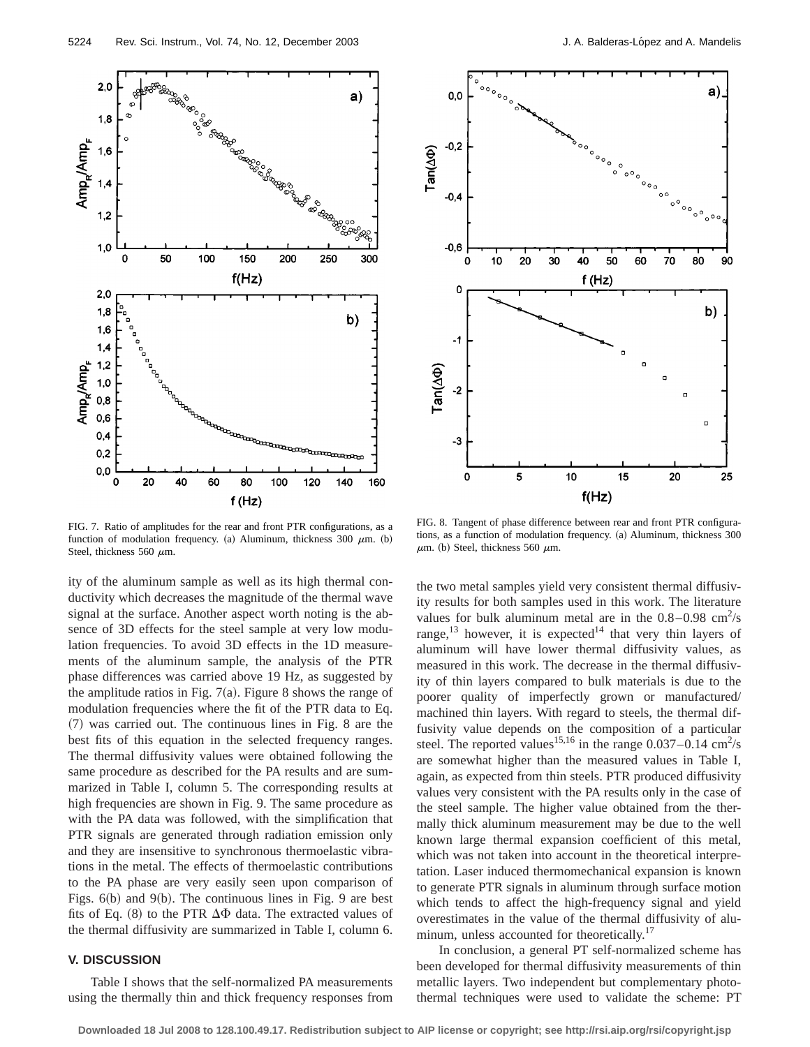

FIG. 7. Ratio of amplitudes for the rear and front PTR configurations, as a function of modulation frequency. (a) Aluminum, thickness 300  $\mu$ m. (b) Steel, thickness 560  $\mu$ m.

ity of the aluminum sample as well as its high thermal conductivity which decreases the magnitude of the thermal wave signal at the surface. Another aspect worth noting is the absence of 3D effects for the steel sample at very low modulation frequencies. To avoid 3D effects in the 1D measurements of the aluminum sample, the analysis of the PTR phase differences was carried above 19 Hz, as suggested by the amplitude ratios in Fig.  $7(a)$ . Figure 8 shows the range of modulation frequencies where the fit of the PTR data to Eq.  $(7)$  was carried out. The continuous lines in Fig. 8 are the best fits of this equation in the selected frequency ranges. The thermal diffusivity values were obtained following the same procedure as described for the PA results and are summarized in Table I, column 5. The corresponding results at high frequencies are shown in Fig. 9. The same procedure as with the PA data was followed, with the simplification that PTR signals are generated through radiation emission only and they are insensitive to synchronous thermoelastic vibrations in the metal. The effects of thermoelastic contributions to the PA phase are very easily seen upon comparison of Figs.  $6(b)$  and  $9(b)$ . The continuous lines in Fig. 9 are best fits of Eq. (8) to the PTR  $\Delta\Phi$  data. The extracted values of the thermal diffusivity are summarized in Table I, column 6.

# **V. DISCUSSION**

Table I shows that the self-normalized PA measurements using the thermally thin and thick frequency responses from



FIG. 8. Tangent of phase difference between rear and front PTR configurations, as a function of modulation frequency. (a) Aluminum, thickness 300  $\mu$ m. (b) Steel, thickness 560  $\mu$ m.

the two metal samples yield very consistent thermal diffusivity results for both samples used in this work. The literature values for bulk aluminum metal are in the  $0.8-0.98$  cm<sup>2</sup>/s range,<sup>13</sup> however, it is expected<sup>14</sup> that very thin layers of aluminum will have lower thermal diffusivity values, as measured in this work. The decrease in the thermal diffusivity of thin layers compared to bulk materials is due to the poorer quality of imperfectly grown or manufactured/ machined thin layers. With regard to steels, the thermal diffusivity value depends on the composition of a particular steel. The reported values<sup>15,16</sup> in the range  $0.037 - 0.14$  cm<sup>2</sup>/s are somewhat higher than the measured values in Table I, again, as expected from thin steels. PTR produced diffusivity values very consistent with the PA results only in the case of the steel sample. The higher value obtained from the thermally thick aluminum measurement may be due to the well known large thermal expansion coefficient of this metal, which was not taken into account in the theoretical interpretation. Laser induced thermomechanical expansion is known to generate PTR signals in aluminum through surface motion which tends to affect the high-frequency signal and yield overestimates in the value of the thermal diffusivity of aluminum, unless accounted for theoretically.<sup>17</sup>

In conclusion, a general PT self-normalized scheme has been developed for thermal diffusivity measurements of thin metallic layers. Two independent but complementary photothermal techniques were used to validate the scheme: PT